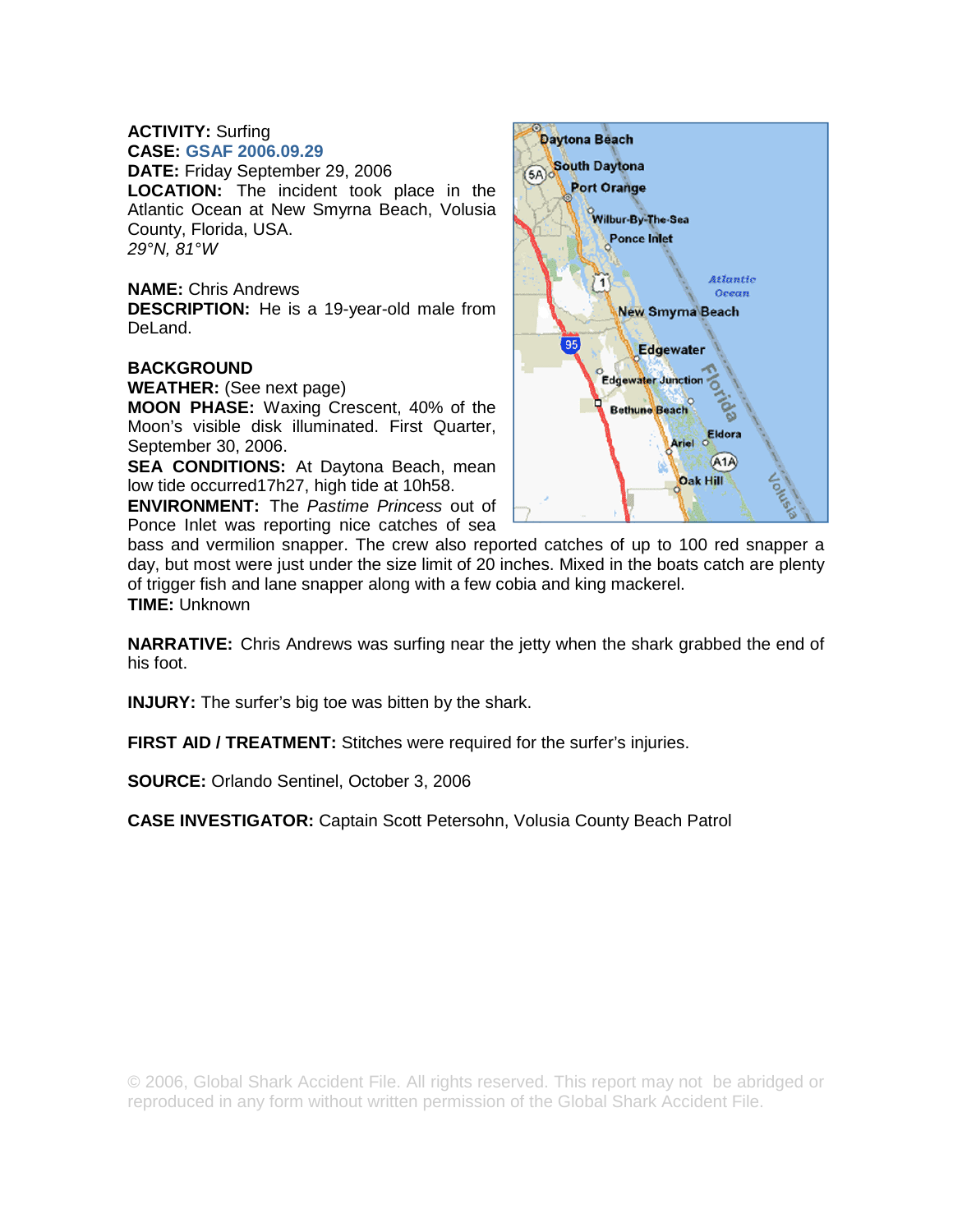## **ACTIVITY:** Surfing **CASE: GSAF 2006.09.29**

**DATE:** Friday September 29, 2006 **LOCATION:** The incident took place in the Atlantic Ocean at New Smyrna Beach, Volusia County, Florida, USA. *29°N, 81°W* 

**NAME:** Chris Andrews **DESCRIPTION:** He is a 19-year-old male from DeLand.

## **BACKGROUND**

**WEATHER:** (See next page)

**MOON PHASE:** Waxing Crescent, 40% of the Moon's visible disk illuminated. First Quarter, September 30, 2006.

**SEA CONDITIONS:** At Daytona Beach, mean low tide occurred17h27, high tide at 10h58.

**ENVIRONMENT:** The *Pastime Princess* out of Ponce Inlet was reporting nice catches of sea



bass and vermilion snapper. The crew also reported catches of up to 100 red snapper a day, but most were just under the size limit of 20 inches. Mixed in the boats catch are plenty of trigger fish and lane snapper along with a few cobia and king mackerel. **TIME:** Unknown

**NARRATIVE:** Chris Andrews was surfing near the jetty when the shark grabbed the end of his foot.

**INJURY:** The surfer's big toe was bitten by the shark.

**FIRST AID / TREATMENT:** Stitches were required for the surfer's injuries.

**SOURCE:** Orlando Sentinel, October 3, 2006

**CASE INVESTIGATOR:** Captain Scott Petersohn, Volusia County Beach Patrol